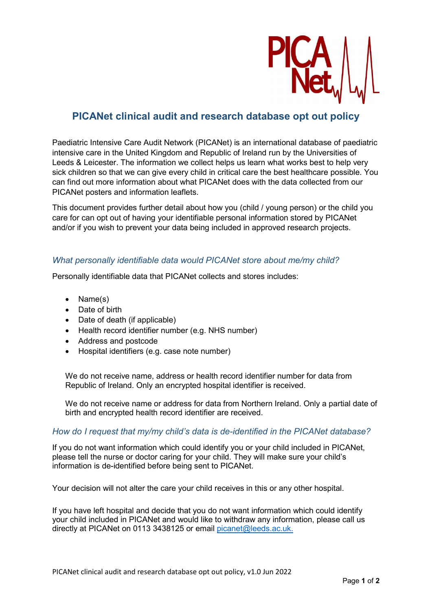

# PICANet clinical audit and research database opt out policy

Paediatric Intensive Care Audit Network (PICANet) is an international database of paediatric intensive care in the United Kingdom and Republic of Ireland run by the Universities of Leeds & Leicester. The information we collect helps us learn what works best to help very sick children so that we can give every child in critical care the best healthcare possible. You can find out more information about what PICANet does with the data collected from our PICANet posters and information leaflets.

This document provides further detail about how you (child / young person) or the child you care for can opt out of having your identifiable personal information stored by PICANet and/or if you wish to prevent your data being included in approved research projects.

## What personally identifiable data would PICANet store about me/my child?

Personally identifiable data that PICANet collects and stores includes:

- Name(s)
- Date of birth
- Date of death (if applicable)
- Health record identifier number (e.g. NHS number)
- Address and postcode
- Hospital identifiers (e.g. case note number)

We do not receive name, address or health record identifier number for data from Republic of Ireland. Only an encrypted hospital identifier is received.

We do not receive name or address for data from Northern Ireland. Only a partial date of birth and encrypted health record identifier are received.

### How do I request that my/my child's data is de-identified in the PICANet database?

If you do not want information which could identify you or your child included in PICANet, please tell the nurse or doctor caring for your child. They will make sure your child's information is de-identified before being sent to PICANet.

Your decision will not alter the care your child receives in this or any other hospital.

If you have left hospital and decide that you do not want information which could identify your child included in PICANet and would like to withdraw any information, please call us directly at PICANet on 0113 3438125 or email picanet@leeds.ac.uk.